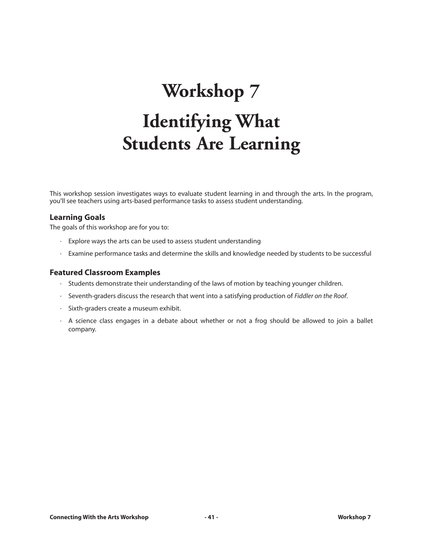# **Workshop 7 Identifying What Students Are Learning**

This workshop session investigates ways to evaluate student learning in and through the arts. In the program, you'll see teachers using arts-based performance tasks to assess student understanding.

#### **Learning Goals**

The goals of this workshop are for you to:

- · Explore ways the arts can be used to assess student understanding
- · Examine performance tasks and determine the skills and knowledge needed by students to be successful

#### **Featured Classroom Examples**

- · Students demonstrate their understanding of the laws of motion by teaching younger children.
- · Seventh-graders discuss the research that went into a satisfying production of *Fiddler on the Roof*.
- · Sixth-graders create a museum exhibit.
- · A science class engages in a debate about whether or not a frog should be allowed to join a ballet company.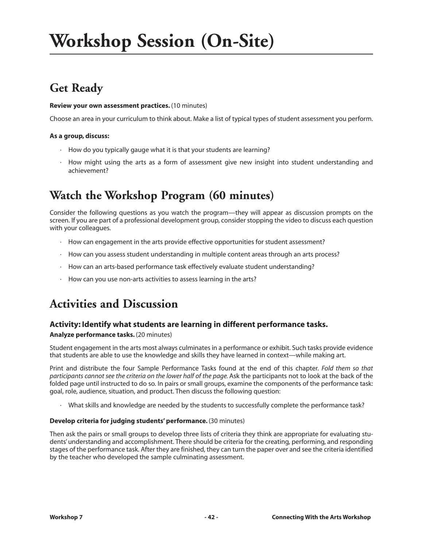## **Workshop Session (On-Site)**

## **Get Ready**

#### **Review your own assessment practices.** (10 minutes)

Choose an area in your curriculum to think about. Make a list of typical types of student assessment you perform.

#### **As a group, discuss:**

- $\cdot$  How do you typically gauge what it is that your students are learning?
- · How might using the arts as a form of assessment give new insight into student understanding and achievement?

## **Watch the Workshop Program (60 minutes)**

Consider the following questions as you watch the program—they will appear as discussion prompts on the screen. If you are part of a professional development group, consider stopping the video to discuss each question with your colleagues.

- · How can engagement in the arts provide effective opportunities for student assessment?
- · How can you assess student understanding in multiple content areas through an arts process?
- · How can an arts-based performance task effectively evaluate student understanding?
- · How can you use non-arts activities to assess learning in the arts?

### **Activities and Discussion**

#### **Activity: Identify what students are learning in different performance tasks.**

#### **Analyze performance tasks.** (20 minutes)

Student engagement in the arts most always culminates in a performance or exhibit. Such tasks provide evidence that students are able to use the knowledge and skills they have learned in context—while making art.

Print and distribute the four Sample Performance Tasks found at the end of this chapter. *Fold them so that participants cannot see the criteria on the lower half of the page.*Ask the participants not to look at the back of the folded page until instructed to do so. In pairs or small groups, examine the components of the performance task: goal, role, audience, situation, and product. Then discuss the following question:

· What skills and knowledge are needed by the students to successfully complete the performance task?

#### **Develop criteria for judging students' performance.** (30 minutes)

Then ask the pairs or small groups to develop three lists of criteria they think are appropriate for evaluating students' understanding and accomplishment. There should be criteria for the creating, performing, and responding stages of the performance task. After they are finished, they can turn the paper over and see the criteria identified by the teacher who developed the sample culminating assessment.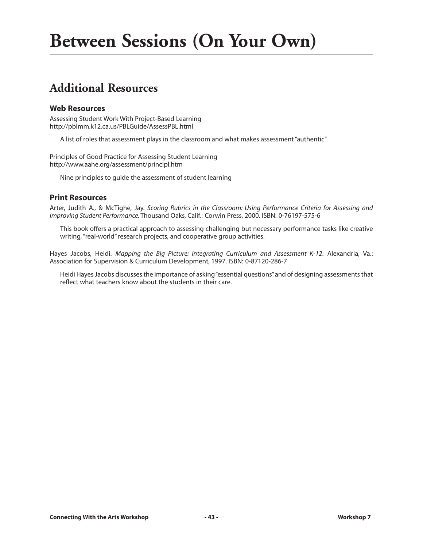### **Additional Resources**

#### **Web Resources**

Assessing Student Work With Project-Based Learning http://pblmm.k12.ca.us/PBLGuide/AssessPBL.html

A list of roles that assessment plays in the classroom and what makes assessment "authentic"

Principles of Good Practice for Assessing Student Learning http://www.aahe.org/assessment/principl.htm

Nine principles to guide the assessment of student learning

#### **Print Resources**

Arter, Judith A., & McTighe, Jay. *Scoring Rubrics in the Classroom: Using Performance Criteria for Assessing and Improving Student Performance.* Thousand Oaks, Calif.: Corwin Press, 2000. ISBN: 0-76197-575-6

This book offers a practical approach to assessing challenging but necessary performance tasks like creative writing, "real-world" research projects, and cooperative group activities.

Hayes Jacobs, Heidi. *Mapping the Big Picture: Integrating Curriculum and Assessment K-12*. Alexandria, Va.: Association for Supervision & Curriculum Development, 1997. ISBN: 0-87120-286-7

Heidi Hayes Jacobs discusses the importance of asking "essential questions"and of designing assessments that reflect what teachers know about the students in their care.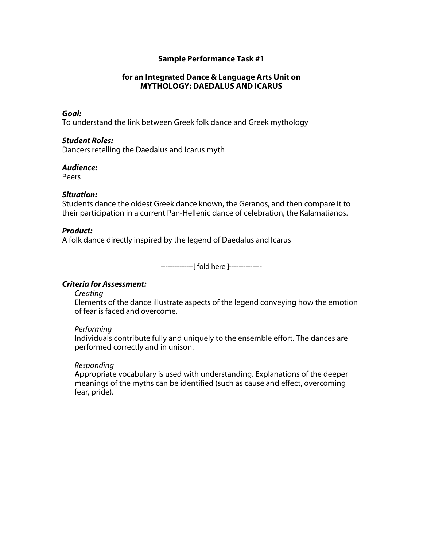#### **for an Integrated Dance & Language Arts Unit on MYTHOLOGY: DAEDALUS AND ICARUS**

#### *Goal:*

To understand the link between Greek folk dance and Greek mythology

#### *Student Roles:*

Dancers retelling the Daedalus and Icarus myth

#### *Audience:*

Peers

#### *Situation:*

Students dance the oldest Greek dance known, the Geranos, and then compare it to their participation in a current Pan-Hellenic dance of celebration, the Kalamatianos.

#### *Product:*

A folk dance directly inspired by the legend of Daedalus and Icarus

--------------[ fold here ]--------------

#### *Criteria for Assessment:*

*Creating* 

Elements of the dance illustrate aspects of the legend conveying how the emotion of fear is faced and overcome.

#### *Performing*

Individuals contribute fully and uniquely to the ensemble effort. The dances are performed correctly and in unison.

#### *Responding*

Appropriate vocabulary is used with understanding. Explanations of the deeper meanings of the myths can be identified (such as cause and effect, overcoming fear, pride).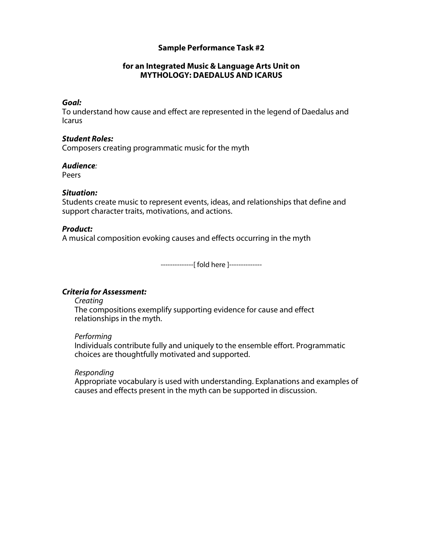#### **for an Integrated Music & Language Arts Unit on MYTHOLOGY: DAEDALUS AND ICARUS**

#### *Goal:*

To understand how cause and effect are represented in the legend of Daedalus and Icarus

#### *Student Roles:*

Composers creating programmatic music for the myth

#### *Audience:*

Peers

#### *Situation:*

Students create music to represent events, ideas, and relationships that define and support character traits, motivations, and actions.

#### *Product:*

A musical composition evoking causes and effects occurring in the myth

--------------[ fold here ]--------------

#### *Criteria for Assessment:*

#### *Creating*

The compositions exemplify supporting evidence for cause and effect relationships in the myth.

#### *Performing*

Individuals contribute fully and uniquely to the ensemble effort. Programmatic choices are thoughtfully motivated and supported.

#### *Responding*

Appropriate vocabulary is used with understanding. Explanations and examples of causes and effects present in the myth can be supported in discussion.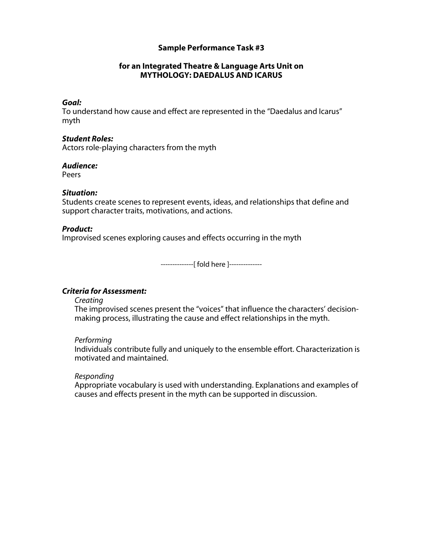#### **for an Integrated Theatre & Language Arts Unit on MYTHOLOGY: DAEDALUS AND ICARUS**

#### *Goal:*

To understand how cause and effect are represented in the "Daedalus and Icarus" myth

#### *Student Roles:*

Actors role-playing characters from the myth

#### *Audience:*

Peers

#### *Situation:*

Students create scenes to represent events, ideas, and relationships that define and support character traits, motivations, and actions.

#### *Product:*

Improvised scenes exploring causes and effects occurring in the myth

--------------[ fold here ]--------------

#### *Criteria for Assessment:*

#### *Creating*

The improvised scenes present the "voices" that influence the characters' decisionmaking process, illustrating the cause and effect relationships in the myth.

#### *Performing*

Individuals contribute fully and uniquely to the ensemble effort. Characterization is motivated and maintained.

#### *Responding*

Appropriate vocabulary is used with understanding. Explanations and examples of causes and effects present in the myth can be supported in discussion.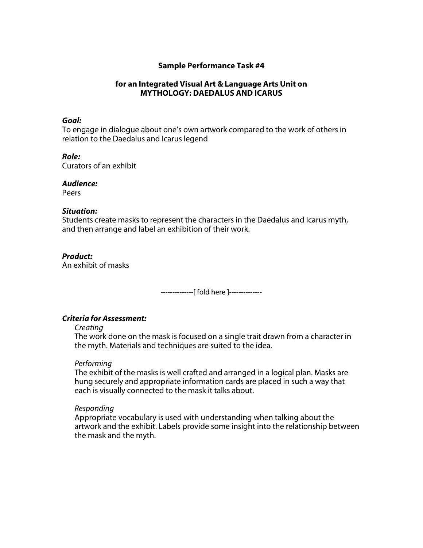#### **for an Integrated Visual Art & Language Arts Unit on MYTHOLOGY: DAEDALUS AND ICARUS**

#### *Goal:*

To engage in dialogue about one's own artwork compared to the work of others in relation to the Daedalus and Icarus legend

#### *Role:*

Curators of an exhibit

#### *Audience:*

Peers

#### *Situation:*

Students create masks to represent the characters in the Daedalus and Icarus myth, and then arrange and label an exhibition of their work.

#### *Product:*

An exhibit of masks

--------------[ fold here ]--------------

#### *Criteria for Assessment:*

*Creating* 

The work done on the mask is focused on a single trait drawn from a character in the myth. Materials and techniques are suited to the idea.

#### *Performing*

The exhibit of the masks is well crafted and arranged in a logical plan. Masks are hung securely and appropriate information cards are placed in such a way that each is visually connected to the mask it talks about.

#### *Responding*

Appropriate vocabulary is used with understanding when talking about the artwork and the exhibit. Labels provide some insight into the relationship between the mask and the myth.